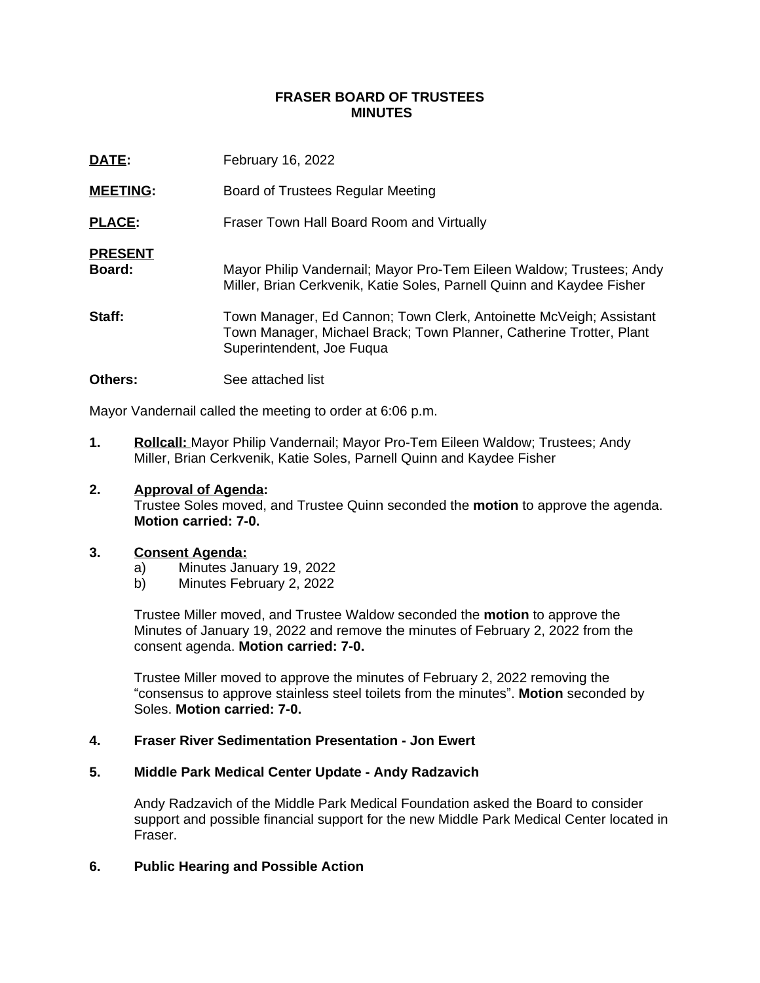### **FRASER BOARD OF TRUSTEES MINUTES**

| DATE:                    | February 16, 2022                                                                                                                                                      |
|--------------------------|------------------------------------------------------------------------------------------------------------------------------------------------------------------------|
| <b>MEETING:</b>          | Board of Trustees Regular Meeting                                                                                                                                      |
| <b>PLACE:</b>            | Fraser Town Hall Board Room and Virtually                                                                                                                              |
| <b>PRESENT</b><br>Board: | Mayor Philip Vandernail; Mayor Pro-Tem Eileen Waldow; Trustees; Andy<br>Miller, Brian Cerkvenik, Katie Soles, Parnell Quinn and Kaydee Fisher                          |
| Staff:                   | Town Manager, Ed Cannon; Town Clerk, Antoinette McVeigh; Assistant<br>Town Manager, Michael Brack; Town Planner, Catherine Trotter, Plant<br>Superintendent, Joe Fuqua |
| <b>Others:</b>           | See attached list                                                                                                                                                      |

Mayor Vandernail called the meeting to order at 6:06 p.m.

**1. Rollcall:** Mayor Philip Vandernail; Mayor Pro-Tem Eileen Waldow; Trustees; Andy Miller, Brian Cerkvenik, Katie Soles, Parnell Quinn and Kaydee Fisher

### **2. Approval of Agenda:**

Trustee Soles moved, and Trustee Quinn seconded the **motion** to approve the agenda. **Motion carried: 7-0.**

#### **3. Consent Agenda:**

- a) Minutes January 19, 2022
- b) Minutes February 2, 2022

Trustee Miller moved, and Trustee Waldow seconded the **motion** to approve the Minutes of January 19, 2022 and remove the minutes of February 2, 2022 from the consent agenda. **Motion carried: 7-0.**

Trustee Miller moved to approve the minutes of February 2, 2022 removing the "consensus to approve stainless steel toilets from the minutes". **Motion** seconded by Soles. **Motion carried: 7-0.**

#### **4. Fraser River Sedimentation Presentation - Jon Ewert**

### **5. Middle Park Medical Center Update - Andy Radzavich**

Andy Radzavich of the Middle Park Medical Foundation asked the Board to consider support and possible financial support for the new Middle Park Medical Center located in Fraser.

### **6. Public Hearing and Possible Action**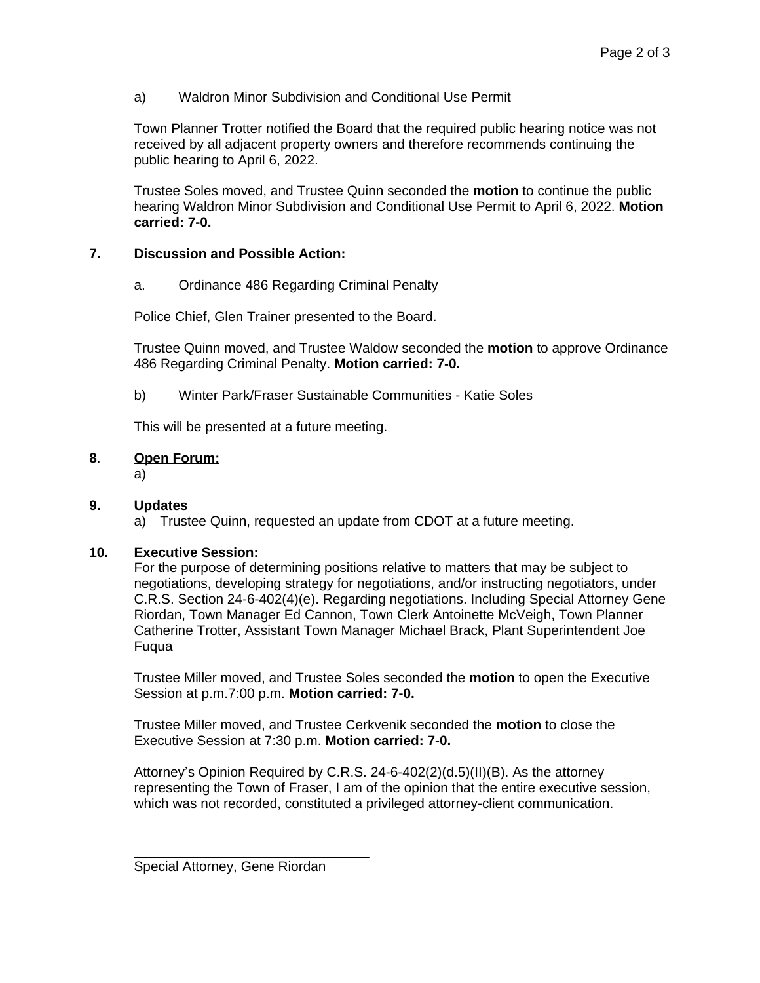a) Waldron Minor Subdivision and Conditional Use Permit

Town Planner Trotter notified the Board that the required public hearing notice was not received by all adjacent property owners and therefore recommends continuing the public hearing to April 6, 2022.

Trustee Soles moved, and Trustee Quinn seconded the **motion** to continue the public hearing Waldron Minor Subdivision and Conditional Use Permit to April 6, 2022. **Motion carried: 7-0.**

# **7. Discussion and Possible Action:**

a. Ordinance 486 Regarding Criminal Penalty

Police Chief, Glen Trainer presented to the Board.

Trustee Quinn moved, and Trustee Waldow seconded the **motion** to approve Ordinance 486 Regarding Criminal Penalty. **Motion carried: 7-0.**

b) Winter Park/Fraser Sustainable Communities - Katie Soles

This will be presented at a future meeting.

# **8**. **Open Forum:**

a)

## **9. Updates**

a) Trustee Quinn, requested an update from CDOT at a future meeting.

## **10. Executive Session:**

For the purpose of determining positions relative to matters that may be subject to negotiations, developing strategy for negotiations, and/or instructing negotiators, under C.R.S. Section 24-6-402(4)(e). Regarding negotiations. Including Special Attorney Gene Riordan, Town Manager Ed Cannon, Town Clerk Antoinette McVeigh, Town Planner Catherine Trotter, Assistant Town Manager Michael Brack, Plant Superintendent Joe Fuqua

Trustee Miller moved, and Trustee Soles seconded the **motion** to open the Executive Session at p.m.7:00 p.m. **Motion carried: 7-0.**

Trustee Miller moved, and Trustee Cerkvenik seconded the **motion** to close the Executive Session at 7:30 p.m. **Motion carried: 7-0.**

Attorney's Opinion Required by C.R.S. 24-6-402(2)(d.5)(II)(B). As the attorney representing the Town of Fraser, I am of the opinion that the entire executive session, which was not recorded, constituted a privileged attorney-client communication.

\_\_\_\_\_\_\_\_\_\_\_\_\_\_\_\_\_\_\_\_\_\_\_\_\_\_\_\_\_\_\_

Special Attorney, Gene Riordan